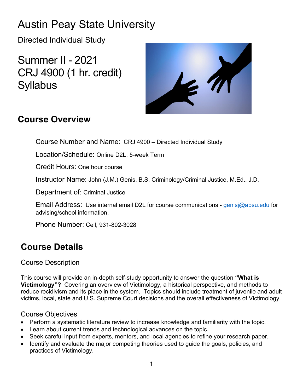## Austin Peay State University

Directed Individual Study

Summer II - 2021 CRJ 4900 (1 hr. credit) **Syllabus** 



## **Course Overview**

Course Number and Name: CRJ 4900 – Directed Individual Study

Location/Schedule: Online D2L, 5-week Term

Credit Hours: One hour course

Instructor Name: John (J.M.) Genis, B.S. Criminology/Criminal Justice, M.Ed., J.D.

Department of: Criminal Justice

Email Address: Use internal email D2L for course communications - [genisj@apsu.edu](mailto:campbellt@apsu.edu) for advising/school information.

Phone Number: Cell, 931-802-3028

## **Course Details**

### Course Description

This course will provide an in-depth self-study opportunity to answer the question **"What is Victimology"?** Covering an overview of Victimology, a historical perspective, and methods to reduce recidivism and its place in the system. Topics should include treatment of juvenile and adult victims, local, state and U.S. Supreme Court decisions and the overall effectiveness of Victimology.

### Course Objectives

- Perform a systematic literature review to increase knowledge and familiarity with the topic.
- Learn about current trends and technological advances on the topic.
- Seek careful input from experts, mentors, and local agencies to refine your research paper.
- Identify and evaluate the major competing theories used to guide the goals, policies, and practices of Victimology.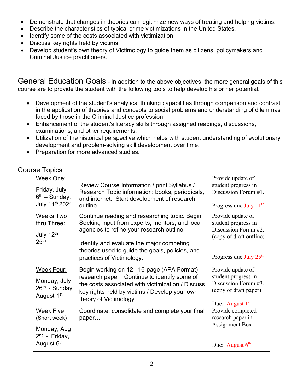- Demonstrate that changes in theories can legitimize new ways of treating and helping victims.
- Describe the characteristics of typical crime victimizations in the United States.
- Identify some of the costs associated with victimization.
- Discuss key rights held by victims.
- Develop student's own theory of Victimology to guide them as citizens, policymakers and Criminal Justice practitioners.

General Education Goals - In addition to the above objectives, the more general goals of this course are to provide the student with the following tools to help develop his or her potential.

- Development of the student's analytical thinking capabilities through comparison and contrast in the application of theories and concepts to social problems and understanding of dilemmas faced by those in the Criminal Justice profession.
- Enhancement of the student's literacy skills through assigned readings, discussions, examinations, and other requirements.
- Utilization of the historical perspective which helps with student understanding of evolutionary development and problem-solving skill development over time.
- Preparation for more advanced studies.

Course Topics

| Week One:                       | Review Course Information / print Syllabus /                                                       | Provide update of<br>student progress in    |
|---------------------------------|----------------------------------------------------------------------------------------------------|---------------------------------------------|
| Friday, July<br>$6th$ – Sunday, | Research Topic information: books, periodicals,<br>and internet. Start development of research     | Discussion Forum #1.                        |
| July 11 <sup>th</sup> 2021      | outline.                                                                                           | Progress due July $11th$                    |
| Weeks Two                       | Continue reading and researching topic. Begin                                                      | Provide update of                           |
| thru Three:                     | Seeking input from experts, mentors, and local                                                     | student progress in<br>Discussion Forum #2. |
| July $12^{\text{th}}$ -         | agencies to refine your research outline.                                                          | (copy of draft outline)                     |
| 25 <sup>th</sup>                | Identify and evaluate the major competing                                                          |                                             |
|                                 | theories used to guide the goals, policies, and                                                    | Progress due July 25 <sup>th</sup>          |
|                                 | practices of Victimology.                                                                          |                                             |
| <b>Week Four:</b>               | Begin working on 12-16-page (APA Format)                                                           | Provide update of                           |
| Monday, July                    | research paper. Continue to identify some of                                                       | student progress in<br>Discussion Forum #3. |
| 26th - Sunday                   | the costs associated with victimization / Discuss<br>key rights held by victims / Develop your own | (copy of draft paper)                       |
| August 1 <sup>st</sup>          | theory of Victimology                                                                              |                                             |
|                                 |                                                                                                    | Due: August $1st$                           |
| Week Five:                      | Coordinate, consolidate and complete your final                                                    | Provide completed                           |
| (Short week)                    | paper                                                                                              | research paper in<br><b>Assignment Box</b>  |
| Monday, Aug<br>$2nd$ - Friday,  |                                                                                                    |                                             |
| August 6th                      |                                                                                                    | Due: August $6th$                           |
|                                 |                                                                                                    |                                             |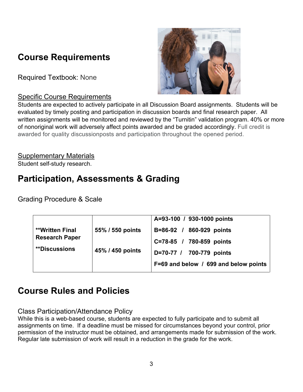## **Course Requirements**

Required Textbook: None

### Specific Course Requirements



Students are expected to actively participate in all Discussion Board assignments. Students will be evaluated by timely posting and participation in discussion boards and final research paper. All written assignments will be monitored and reviewed by the "Turnitin" validation program. 40% or more of nonoriginal work will adversely affect points awarded and be graded accordingly. Full credit is awarded for quality discussionposts and participation throughout the opened period.

Supplementary Materials Student self-study research.

## **Participation, Assessments & Grading**

Grading Procedure & Scale

|                        |                  | A=93-100 / 930-1000 points            |
|------------------------|------------------|---------------------------------------|
| <b>**Written Final</b> | 55% / 550 points | B=86-92 / 860-929 points              |
| <b>Research Paper</b>  | 45% / 450 points | C=78-85 / 780-859 points              |
| <b>**Discussions</b>   |                  | D=70-77 / 700-779 points              |
|                        |                  | F=69 and below / 699 and below points |

## **Course Rules and Policies**

### Class Participation/Attendance Policy

While this is a web-based course, students are expected to fully participate and to submit all assignments on time. If a deadline must be missed for circumstances beyond your control, prior permission of the instructor must be obtained, and arrangements made for submission of the work. Regular late submission of work will result in a reduction in the grade for the work.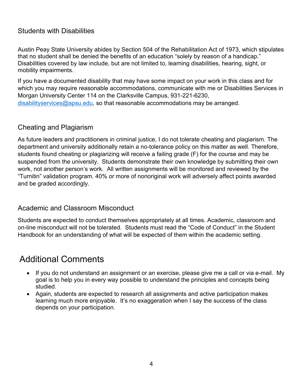### Students with Disabilities

Austin Peay State University abides by Section 504 of the Rehabilitation Act of 1973, which stipulates that no student shall be denied the benefits of an education "solely by reason of a handicap." Disabilities covered by law include, but are not limited to, learning disabilities, hearing, sight, or mobility impairments.

If you have a documented disability that may have some impact on your work in this class and for which you may require reasonable accommodations, communicate with me or Disabilities Services in Morgan University Center 114 on the Clarksville Campus, 931-221-6230, [disabilityservices@apsu.edu,](mailto:disabilityservices@apsu.edu) so that reasonable accommodations may be arranged.

### Cheating and Plagiarism

As future leaders and practitioners in criminal justice, I do not tolerate cheating and plagiarism. The department and university additionally retain a no-tolerance policy on this matter as well. Therefore, students found cheating or plagiarizing will receive a failing grade (F) for the course and may be suspended from the university. Students demonstrate their own knowledge by submitting their own work, not another person's work. All written assignments will be monitored and reviewed by the "Turnitin" validation program. 40% or more of nonoriginal work will adversely affect points awarded and be graded accordingly.

### Academic and Classroom Misconduct

Students are expected to conduct themselves appropriately at all times. Academic, classroom and on-line misconduct will not be tolerated. Students must read the "Code of Conduct" in the Student Handbook for an understanding of what will be expected of them within the academic setting.

## Additional Comments

- If you do not understand an assignment or an exercise, please give me a call or via e-mail. My goal is to help you in every way possible to understand the principles and concepts being studied.
- Again, students are expected to research all assignments and active participation makes learning much more enjoyable. It's no exaggeration when I say the success of the class depends on your participation.